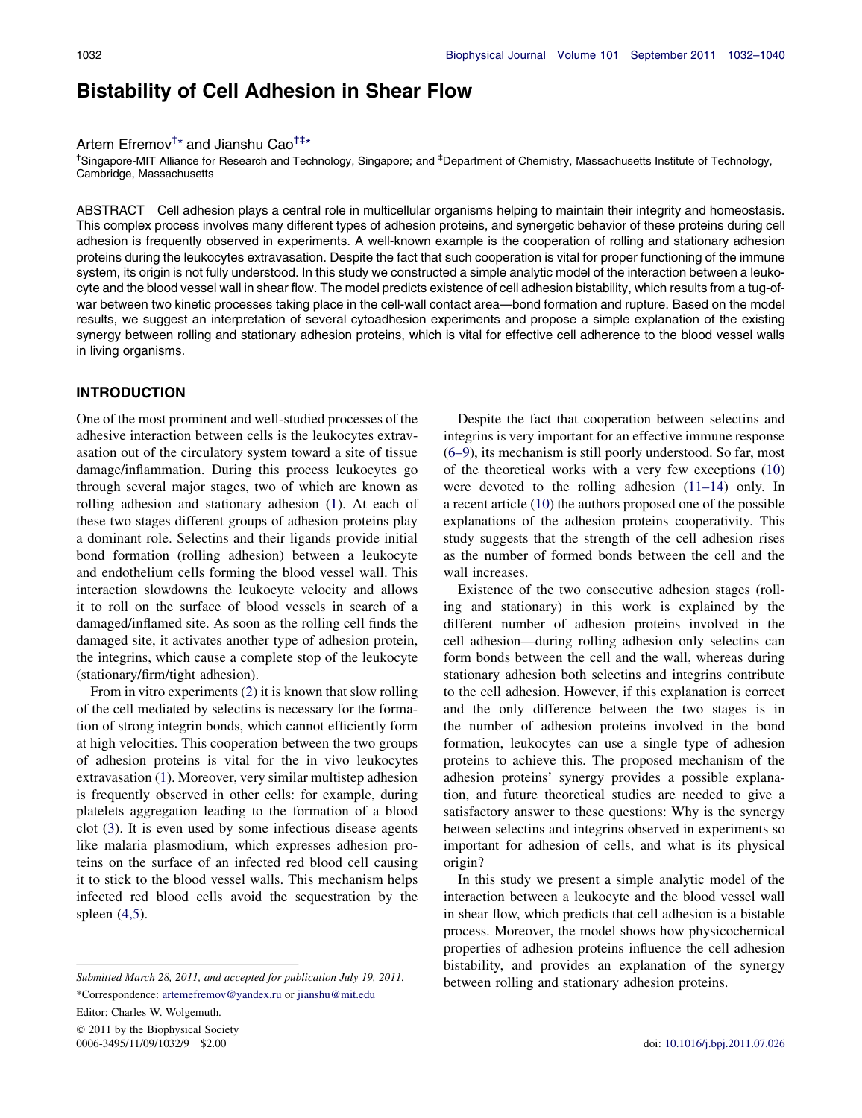# Bistability of Cell Adhesion in Shear Flow

# Artem Efremov<sup>†\*</sup> and Jianshu Cao<sup>†‡\*</sup>

<sup>†</sup>Singapore-MIT Alliance for Research and Technology, Singapore; and <sup>‡</sup>Department of Chemistry, Massachusetts Institute of Technology, Cambridge, Massachusetts

ABSTRACT Cell adhesion plays a central role in multicellular organisms helping to maintain their integrity and homeostasis. This complex process involves many different types of adhesion proteins, and synergetic behavior of these proteins during cell adhesion is frequently observed in experiments. A well-known example is the cooperation of rolling and stationary adhesion proteins during the leukocytes extravasation. Despite the fact that such cooperation is vital for proper functioning of the immune system, its origin is not fully understood. In this study we constructed a simple analytic model of the interaction between a leukocyte and the blood vessel wall in shear flow. The model predicts existence of cell adhesion bistability, which results from a tug-ofwar between two kinetic processes taking place in the cell-wall contact area—bond formation and rupture. Based on the model results, we suggest an interpretation of several cytoadhesion experiments and propose a simple explanation of the existing synergy between rolling and stationary adhesion proteins, which is vital for effective cell adherence to the blood vessel walls in living organisms.

#### INTRODUCTION

One of the most prominent and well-studied processes of the adhesive interaction between cells is the leukocytes extravasation out of the circulatory system toward a site of tissue damage/inflammation. During this process leukocytes go through several major stages, two of which are known as rolling adhesion and stationary adhesion [\(1](#page-7-0)). At each of these two stages different groups of adhesion proteins play a dominant role. Selectins and their ligands provide initial bond formation (rolling adhesion) between a leukocyte and endothelium cells forming the blood vessel wall. This interaction slowdowns the leukocyte velocity and allows it to roll on the surface of blood vessels in search of a damaged/inflamed site. As soon as the rolling cell finds the damaged site, it activates another type of adhesion protein, the integrins, which cause a complete stop of the leukocyte (stationary/firm/tight adhesion).

From in vitro experiments [\(2](#page-7-0)) it is known that slow rolling of the cell mediated by selectins is necessary for the formation of strong integrin bonds, which cannot efficiently form at high velocities. This cooperation between the two groups of adhesion proteins is vital for the in vivo leukocytes extravasation ([1\)](#page-7-0). Moreover, very similar multistep adhesion is frequently observed in other cells: for example, during platelets aggregation leading to the formation of a blood clot [\(3](#page-7-0)). It is even used by some infectious disease agents like malaria plasmodium, which expresses adhesion proteins on the surface of an infected red blood cell causing it to stick to the blood vessel walls. This mechanism helps infected red blood cells avoid the sequestration by the spleen [\(4,5\)](#page-7-0).

Editor: Charles W. Wolgemuth.

 $© 2011$  by the Biophysical Society 0006-3495/11/09/1032/9 \$2.00 doi: [10.1016/j.bpj.2011.07.026](http://dx.doi.org/10.1016/j.bpj.2011.07.026)

Despite the fact that cooperation between selectins and integrins is very important for an effective immune response ([6–9\)](#page-8-0), its mechanism is still poorly understood. So far, most of the theoretical works with a very few exceptions [\(10](#page-8-0)) were devoted to the rolling adhesion ([11–14\)](#page-8-0) only. In a recent article ([10\)](#page-8-0) the authors proposed one of the possible explanations of the adhesion proteins cooperativity. This study suggests that the strength of the cell adhesion rises as the number of formed bonds between the cell and the wall increases.

Existence of the two consecutive adhesion stages (rolling and stationary) in this work is explained by the different number of adhesion proteins involved in the cell adhesion—during rolling adhesion only selectins can form bonds between the cell and the wall, whereas during stationary adhesion both selectins and integrins contribute to the cell adhesion. However, if this explanation is correct and the only difference between the two stages is in the number of adhesion proteins involved in the bond formation, leukocytes can use a single type of adhesion proteins to achieve this. The proposed mechanism of the adhesion proteins' synergy provides a possible explanation, and future theoretical studies are needed to give a satisfactory answer to these questions: Why is the synergy between selectins and integrins observed in experiments so important for adhesion of cells, and what is its physical origin?

In this study we present a simple analytic model of the interaction between a leukocyte and the blood vessel wall in shear flow, which predicts that cell adhesion is a bistable process. Moreover, the model shows how physicochemical properties of adhesion proteins influence the cell adhesion bistability, and provides an explanation of the synergy

Submitted March 28, 2011, and accepted for publication July 19, 2011. between rolling and stationary adhesion proteins. \*Correspondence: [artemefremov@yandex.ru](mailto:artemefremov@yandex.ru) or [jianshu@mit.edu](mailto:jianshu@mit.edu)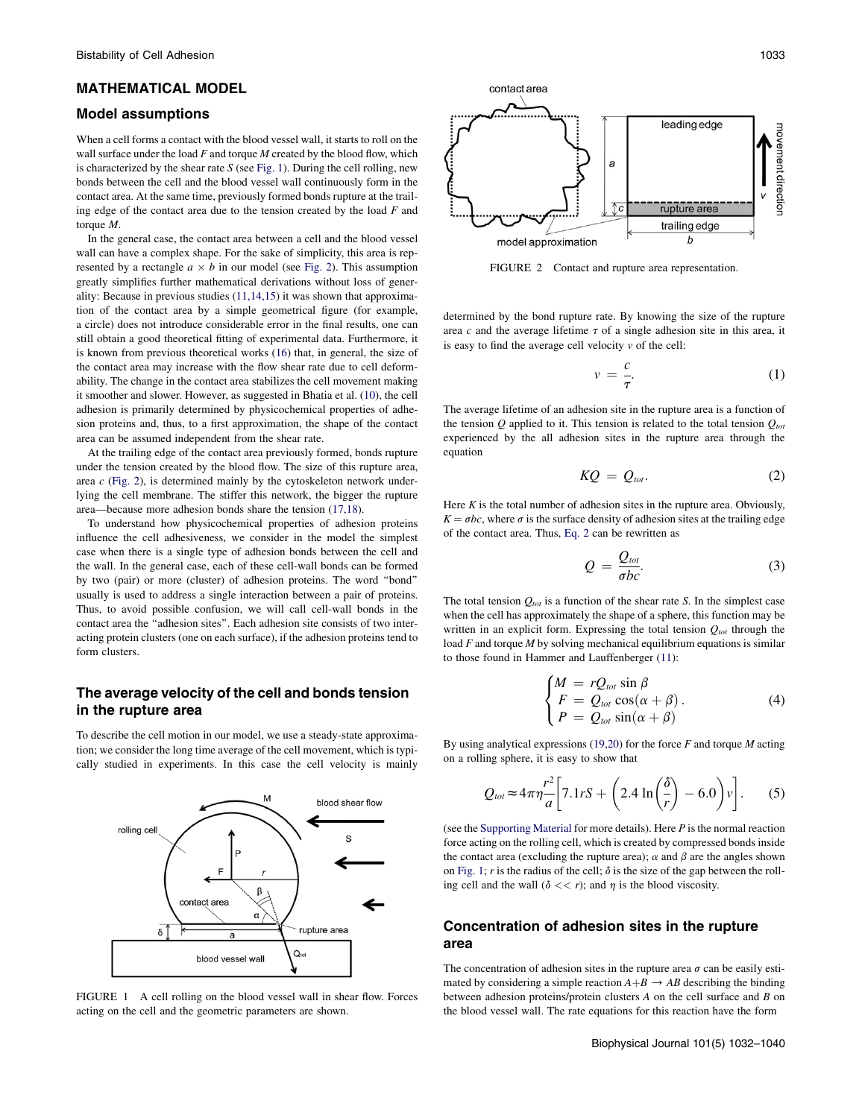#### <span id="page-1-0"></span>MATHEMATICAL MODEL

#### Model assumptions

When a cell forms a contact with the blood vessel wall, it starts to roll on the wall surface under the load  $F$  and torque  $M$  created by the blood flow, which is characterized by the shear rate  $S$  (see Fig. 1). During the cell rolling, new bonds between the cell and the blood vessel wall continuously form in the contact area. At the same time, previously formed bonds rupture at the trailing edge of the contact area due to the tension created by the load  $F$  and torque M.

In the general case, the contact area between a cell and the blood vessel wall can have a complex shape. For the sake of simplicity, this area is represented by a rectangle  $a \times b$  in our model (see Fig. 2). This assumption greatly simplifies further mathematical derivations without loss of generality: Because in previous studies [\(11,14,15](#page-8-0)) it was shown that approximation of the contact area by a simple geometrical figure (for example, a circle) does not introduce considerable error in the final results, one can still obtain a good theoretical fitting of experimental data. Furthermore, it is known from previous theoretical works [\(16\)](#page-8-0) that, in general, the size of the contact area may increase with the flow shear rate due to cell deformability. The change in the contact area stabilizes the cell movement making it smoother and slower. However, as suggested in Bhatia et al. ([10\)](#page-8-0), the cell adhesion is primarily determined by physicochemical properties of adhesion proteins and, thus, to a first approximation, the shape of the contact area can be assumed independent from the shear rate.

At the trailing edge of the contact area previously formed, bonds rupture under the tension created by the blood flow. The size of this rupture area, area  $c$  (Fig. 2), is determined mainly by the cytoskeleton network underlying the cell membrane. The stiffer this network, the bigger the rupture area—because more adhesion bonds share the tension ([17,18](#page-8-0)).

To understand how physicochemical properties of adhesion proteins influence the cell adhesiveness, we consider in the model the simplest case when there is a single type of adhesion bonds between the cell and the wall. In the general case, each of these cell-wall bonds can be formed by two (pair) or more (cluster) of adhesion proteins. The word ''bond'' usually is used to address a single interaction between a pair of proteins. Thus, to avoid possible confusion, we will call cell-wall bonds in the contact area the ''adhesion sites''. Each adhesion site consists of two interacting protein clusters (one on each surface), if the adhesion proteins tend to form clusters.

# The average velocity of the cell and bonds tension in the rupture area

To describe the cell motion in our model, we use a steady-state approximation; we consider the long time average of the cell movement, which is typically studied in experiments. In this case the cell velocity is mainly



FIGURE 1 A cell rolling on the blood vessel wall in shear flow. Forces acting on the cell and the geometric parameters are shown.



FIGURE 2 Contact and rupture area representation.

determined by the bond rupture rate. By knowing the size of the rupture area c and the average lifetime  $\tau$  of a single adhesion site in this area, it is easy to find the average cell velocity  $\nu$  of the cell:

$$
v = \frac{c}{\tau}.\tag{1}
$$

The average lifetime of an adhesion site in the rupture area is a function of the tension Q applied to it. This tension is related to the total tension  $Q_{tot}$ experienced by the all adhesion sites in the rupture area through the equation

$$
KQ = Q_{tot}.
$$
 (2)

Here  $K$  is the total number of adhesion sites in the rupture area. Obviously,  $K = \sigma bc$ , where  $\sigma$  is the surface density of adhesion sites at the trailing edge of the contact area. Thus, Eq. 2 can be rewritten as

$$
Q = \frac{Q_{tot}}{\sigma bc}.
$$
 (3)

The total tension  $Q_{tot}$  is a function of the shear rate S. In the simplest case when the cell has approximately the shape of a sphere, this function may be written in an explicit form. Expressing the total tension  $Q_{tot}$  through the load  $F$  and torque  $M$  by solving mechanical equilibrium equations is similar to those found in Hammer and Lauffenberger [\(11](#page-8-0)):

$$
\begin{cases}\nM = rQ_{tot} \sin \beta \\
F = Q_{tot} \cos(\alpha + \beta).\n\end{cases}
$$
\n(4)\n
$$
P = Q_{tot} \sin(\alpha + \beta)
$$

By using analytical expressions [\(19,20](#page-8-0)) for the force  $F$  and torque  $M$  acting on a rolling sphere, it is easy to show that

$$
Q_{tot} \approx 4\pi \eta \frac{r^2}{a} \left[ 7.1rS + \left( 2.4 \ln \left( \frac{\delta}{r} \right) - 6.0 \right) v \right].
$$
 (5)

(see the [Supporting Material](#page-7-0) for more details). Here  $P$  is the normal reaction force acting on the rolling cell, which is created by compressed bonds inside the contact area (excluding the rupture area);  $\alpha$  and  $\beta$  are the angles shown on Fig. 1; r is the radius of the cell;  $\delta$  is the size of the gap between the rolling cell and the wall ( $\delta \ll r$ ); and  $\eta$  is the blood viscosity.

# Concentration of adhesion sites in the rupture area

The concentration of adhesion sites in the rupture area  $\sigma$  can be easily estimated by considering a simple reaction  $A+B \rightarrow AB$  describing the binding between adhesion proteins/protein clusters A on the cell surface and B on the blood vessel wall. The rate equations for this reaction have the form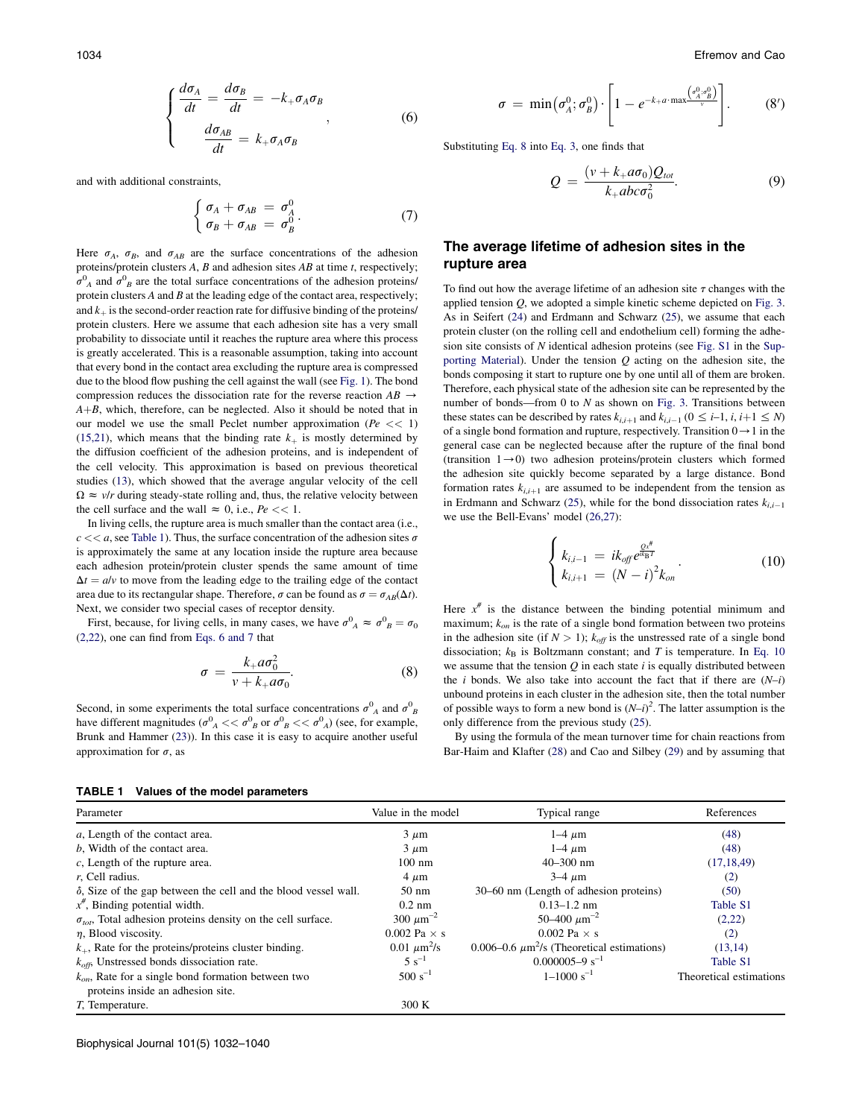<span id="page-2-0"></span>
$$
\begin{cases}\n\frac{d\sigma_A}{dt} = \frac{d\sigma_B}{dt} = -k_+\sigma_A\sigma_B \\
\frac{d\sigma_{AB}}{dt} = k_+\sigma_A\sigma_B\n\end{cases}
$$
\n(6)

and with additional constraints,

$$
\begin{cases}\n\sigma_A + \sigma_{AB} = \sigma_A^0 \\
\sigma_B + \sigma_{AB} = \sigma_B^0\n\end{cases} (7)
$$

Here  $\sigma_A$ ,  $\sigma_B$ , and  $\sigma_{AB}$  are the surface concentrations of the adhesion proteins/protein clusters  $A$ ,  $B$  and adhesion sites  $AB$  at time  $t$ , respectively;  $\sigma_{A}^{0}$  and  $\sigma_{B}^{0}$  are the total surface concentrations of the adhesion proteins/ protein clusters A and B at the leading edge of the contact area, respectively; and  $k_+$  is the second-order reaction rate for diffusive binding of the proteins/ protein clusters. Here we assume that each adhesion site has a very small probability to dissociate until it reaches the rupture area where this process is greatly accelerated. This is a reasonable assumption, taking into account that every bond in the contact area excluding the rupture area is compressed due to the blood flow pushing the cell against the wall (see [Fig. 1](#page-1-0)). The bond compression reduces the dissociation rate for the reverse reaction  $AB \rightarrow$  $A+B$ , which, therefore, can be neglected. Also it should be noted that in our model we use the small Peclet number approximation ( $Pe \ll 1$ ) [\(15,21\)](#page-8-0), which means that the binding rate  $k_{+}$  is mostly determined by the diffusion coefficient of the adhesion proteins, and is independent of the cell velocity. This approximation is based on previous theoretical studies [\(13](#page-8-0)), which showed that the average angular velocity of the cell  $\Omega \approx v/r$  during steady-state rolling and, thus, the relative velocity between the cell surface and the wall  $\approx 0$ , i.e.,  $Pe \ll 1$ .

In living cells, the rupture area is much smaller than the contact area (i.e.,  $c \ll a$ , see Table 1). Thus, the surface concentration of the adhesion sites  $\sigma$ is approximately the same at any location inside the rupture area because each adhesion protein/protein cluster spends the same amount of time  $\Delta t = a/v$  to move from the leading edge to the trailing edge of the contact area due to its rectangular shape. Therefore,  $\sigma$  can be found as  $\sigma = \sigma_{AB}(\Delta t)$ . Next, we consider two special cases of receptor density.

First, because, for living cells, in many cases, we have  $\sigma_A^0 \approx \sigma_B^0 = \sigma_0$ [\(2,22\)](#page-7-0), one can find from [Eqs. 6 and 7](#page-1-0) that

$$
\sigma = \frac{k_+ a \sigma_0^2}{v + k_+ a \sigma_0}.\tag{8}
$$

Second, in some experiments the total surface concentrations  $\sigma_A^0$  and  $\sigma_B^0$ have different magnitudes ( $\sigma_{A}^{0} << \sigma_{B}^{0}$  or  $\sigma_{B}^{0} << \sigma_{A}^{0}$ ) (see, for example, Brunk and Hammer ([23\)](#page-8-0)). In this case it is easy to acquire another useful approximation for  $\sigma$ , as

TABLE 1 Values of the model parameters

$$
\sigma = \min(\sigma_A^0; \sigma_B^0) \cdot \left[1 - e^{-k_+ a \cdot \max\left(\frac{\sigma_A^0; \sigma_B^0}{v}\right)}\right].
$$
 (8')

Substituting Eq. 8 into [Eq. 3,](#page-1-0) one finds that

$$
Q = \frac{(v + k_+ a \sigma_0) Q_{tot}}{k_+ a b c \sigma_0^2}.
$$
\n(9)

# The average lifetime of adhesion sites in the rupture area

To find out how the average lifetime of an adhesion site  $\tau$  changes with the applied tension  $Q$ , we adopted a simple kinetic scheme depicted on [Fig. 3.](#page-3-0) As in Seifert [\(24](#page-8-0)) and Erdmann and Schwarz ([25\)](#page-8-0), we assume that each protein cluster (on the rolling cell and endothelium cell) forming the adhesion site consists of N identical adhesion proteins (see [Fig. S1](#page-7-0) in the [Sup](#page-7-0)[porting Material\)](#page-7-0). Under the tension  $Q$  acting on the adhesion site, the bonds composing it start to rupture one by one until all of them are broken. Therefore, each physical state of the adhesion site can be represented by the number of bonds—from 0 to  $N$  as shown on [Fig. 3.](#page-3-0) Transitions between these states can be described by rates  $k_{i,i+1}$  and  $k_{i,i-1}$  ( $0 \le i-1, i, i+1 \le N$ ) of a single bond formation and rupture, respectively. Transition  $0 \rightarrow 1$  in the general case can be neglected because after the rupture of the final bond (transition  $1\rightarrow 0$ ) two adhesion proteins/protein clusters which formed the adhesion site quickly become separated by a large distance. Bond formation rates  $k_{i,i+1}$  are assumed to be independent from the tension as in Erdmann and Schwarz ([25](#page-8-0)), while for the bond dissociation rates  $k_{i,i-1}$ we use the Bell-Evans' model ([26,27](#page-8-0)):

$$
\begin{cases}\nk_{i,i-1} = ik_{off}e^{\frac{Qx^*}{\sqrt{4B^T}}}\\k_{i,i+1} = (N-i)^2k_{on}\n\end{cases} \tag{10}
$$

Here  $x^{\#}$  is the distance between the binding potential minimum and maximum;  $k_{on}$  is the rate of a single bond formation between two proteins in the adhesion site (if  $N > 1$ );  $k_{off}$  is the unstressed rate of a single bond dissociation;  $k_B$  is Boltzmann constant; and T is temperature. In Eq. 10 we assume that the tension  $Q$  in each state  $i$  is equally distributed between the  $i$  bonds. We also take into account the fact that if there are  $(N-i)$ unbound proteins in each cluster in the adhesion site, then the total number of possible ways to form a new bond is  $(N-i)^2$ . The latter assumption is the only difference from the previous study ([25](#page-8-0)).

By using the formula of the mean turnover time for chain reactions from Bar-Haim and Klafter [\(28](#page-8-0)) and Cao and Silbey ([29\)](#page-8-0) and by assuming that

| Parameter                                                                                    | Value in the model        | Typical range                                               | References              |
|----------------------------------------------------------------------------------------------|---------------------------|-------------------------------------------------------------|-------------------------|
| a, Length of the contact area.                                                               | $3 \mu m$                 | $1-4 \mu m$                                                 | (48)                    |
| b, Width of the contact area.                                                                | $3 \mu m$                 | $1-4 \mu m$                                                 | (48)                    |
| $c$ , Length of the rupture area.                                                            | $100 \text{ nm}$          | $40 - 300$ nm                                               | (17, 18, 49)            |
| r, Cell radius.                                                                              | $4 \mu m$                 | $3-4 \mu m$                                                 | (2)                     |
| $\delta$ , Size of the gap between the cell and the blood vessel wall.                       | $50 \text{ nm}$           | 30–60 nm (Length of adhesion proteins)                      | (50)                    |
| $x^{\#}$ , Binding potential width.                                                          | $0.2 \text{ nm}$          | $0.13 - 1.2$ nm                                             | Table S1                |
| $\sigma_{tot}$ , Total adhesion proteins density on the cell surface.                        | 300 $\mu$ m <sup>-2</sup> | 50–400 $\mu$ m <sup>-2</sup>                                | (2,22)                  |
| $\eta$ , Blood viscosity.                                                                    | $0.002$ Pa $\times$ s     | $0.002$ Pa $\times$ s                                       | (2)                     |
| $k_{+}$ , Rate for the proteins/proteins cluster binding.                                    | $0.01 \ \mu m^2/s$        | 0.006–0.6 $\mu$ m <sup>2</sup> /s (Theoretical estimations) | (13,14)                 |
| $k_{\text{off}}$ , Unstressed bonds dissociation rate.                                       | $5 s^{-1}$                | $0.000005 - 9 s^{-1}$                                       | Table S1                |
| $k_{on}$ , Rate for a single bond formation between two<br>proteins inside an adhesion site. | $500 s^{-1}$              | $1-1000 s^{-1}$                                             | Theoretical estimations |
| <i>T</i> , Temperature.                                                                      | 300 K                     |                                                             |                         |

Biophysical Journal 101(5) 1032–1040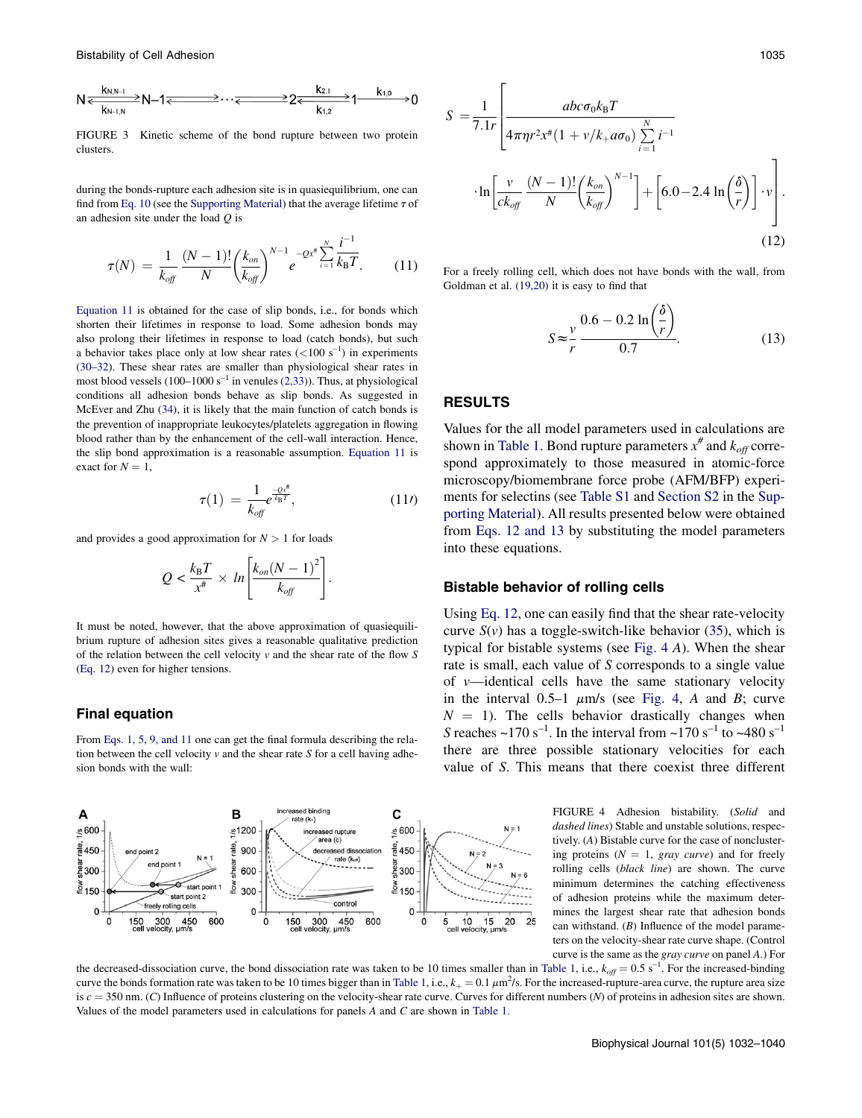<span id="page-3-0"></span>
$$
N \xleftarrow[k_{N,N-1}]{k_{N,N-1}} N-1 \xleftarrow[k_{N-1,N}]{k_{N-1}} N-1 \xleftarrow[k_{N-1,N}]{k_{N-1}} 2 \xleftarrow[k_{N-1,N}]{k_{N,N-1}} 2 \xleftarrow[k_{N-1,N}]{k_{N,N-1}} 0
$$

FIGURE 3 Kinetic scheme of the bond rupture between two protein clusters.

during the bonds-rupture each adhesion site is in quasiequilibrium, one can find from [Eq. 10](#page-2-0) (see the [Supporting Material\)](#page-7-0) that the average lifetime  $\tau$  of an adhesion site under the load Q is

$$
\tau(N) = \frac{1}{k_{off}} \frac{(N-1)!}{N} \left(\frac{k_{on}}{k_{off}}\right)^{N-1} e^{-Qx^{\#} \sum_{i=1}^{N} \frac{i^{-1}}{k_{B}T}}.
$$
 (11)

Equation 11 is obtained for the case of slip bonds, i.e., for bonds which shorten their lifetimes in response to load. Some adhesion bonds may also prolong their lifetimes in response to load (catch bonds), but such a behavior takes place only at low shear rates  $(<100 s<sup>-1</sup>)$  in experiments [\(30–32\)](#page-8-0). These shear rates are smaller than physiological shear rates in most blood vessels (100–1000 s<sup>-1</sup> in venules [\(2,33\)](#page-7-0)). Thus, at physiological conditions all adhesion bonds behave as slip bonds. As suggested in McEver and Zhu [\(34](#page-8-0)), it is likely that the main function of catch bonds is the prevention of inappropriate leukocytes/platelets aggregation in flowing blood rather than by the enhancement of the cell-wall interaction. Hence, the slip bond approximation is a reasonable assumption. Equation 11 is exact for  $N = 1$ ,

$$
\tau(1) = \frac{1}{k_{off}} e^{\frac{-Qx^{\#}}{k_{\text{B}}T}},\tag{11t}
$$

:

and provides a good approximation for  $N > 1$  for loads

$$
Q < \frac{k_{\rm B}T}{x^*} \times \ln\left[\frac{k_{\rm on}(N-1)^2}{k_{\rm off}}\right]
$$

It must be noted, however, that the above approximation of quasiequilibrium rupture of adhesion sites gives a reasonable qualitative prediction of the relation between the cell velocity  $v$  and the shear rate of the flow S (Eq. 12) even for higher tensions.

#### Final equation

From [Eqs. 1, 5, 9, and 11](#page-1-0) one can get the final formula describing the relation between the cell velocity  $\nu$  and the shear rate S for a cell having adhesion bonds with the wall:



$$
S = \frac{1}{7.1r} \left[ \frac{abc\sigma_0 k_B T}{4\pi \eta r^2 x^4 (1 + v/k_+ a\sigma_0) \sum\limits_{i=1}^N i^{-1}} \cdot \ln \left[ \frac{v}{ck_{off}} \frac{(N-1)!}{N} \left( \frac{k_{on}}{k_{off}} \right)^{N-1} \right] + \left[ 6.0 - 2.4 \ln \left( \frac{\delta}{r} \right) \right] \cdot v \right].
$$
\n(12)

For a freely rolling cell, which does not have bonds with the wall, from Goldman et al. ([19,20](#page-8-0)) it is easy to find that

$$
S \approx \frac{v}{r} \frac{0.6 - 0.2 \ln\left(\frac{\delta}{r}\right)}{0.7}.
$$
 (13)

### RESULTS

Values for the all model parameters used in calculations are shown in [Table 1.](#page-2-0) Bond rupture parameters  $x^*$  and  $k_{off}$  correspond approximately to those measured in atomic-force microscopy/biomembrane force probe (AFM/BFP) experiments for selectins (see [Table S1](#page-7-0) and [Section S2](#page-7-0) in the [Sup](#page-7-0)[porting Material\)](#page-7-0). All results presented below were obtained from Eqs. 12 and 13 by substituting the model parameters into these equations.

#### Bistable behavior of rolling cells

Using Eq. 12, one can easily find that the shear rate-velocity curve  $S(v)$  has a toggle-switch-like behavior [\(35](#page-8-0)), which is typical for bistable systems (see Fig. 4 A). When the shear rate is small, each value of S corresponds to a single value of v—identical cells have the same stationary velocity in the interval  $0.5-1$   $\mu$ m/s (see Fig. 4, A and B; curve  $N = 1$ ). The cells behavior drastically changes when S reaches  $\sim$ 170 s<sup>-1</sup>. In the interval from  $\sim$ 170 s<sup>-1</sup> to  $\sim$ 480 s<sup>-1</sup> there are three possible stationary velocities for each value of S. This means that there coexist three different

> FIGURE 4 Adhesion bistability. (Solid and dashed lines) Stable and unstable solutions, respectively. (A) Bistable curve for the case of nonclustering proteins  $(N = 1, \text{ gray curve})$  and for freely rolling cells (black line) are shown. The curve minimum determines the catching effectiveness of adhesion proteins while the maximum determines the largest shear rate that adhesion bonds can withstand.  $(B)$  Influence of the model parameters on the velocity-shear rate curve shape. (Control curve is the same as the gray curve on panel A.) For

the decreased-dissociation curve, the bond dissociation rate was taken to be 10 times smaller than in [Table 1,](#page-2-0) i.e.,  $k_{off} = 0.5 \text{ s}^{-1}$ . For the increased-binding curve the bonds formation rate was taken to be 10 times bigger than in [Table 1](#page-2-0), i.e.,  $k_+ = 0.1 \ \mu m^2/s$ . For the increased-rupture-area curve, the rupture area size is  $c = 350$  nm. (C) Influence of proteins clustering on the velocity-shear rate curve. Curves for different numbers (N) of proteins in adhesion sites are shown. Values of the model parameters used in calculations for panels A and C are shown in [Table 1](#page-2-0).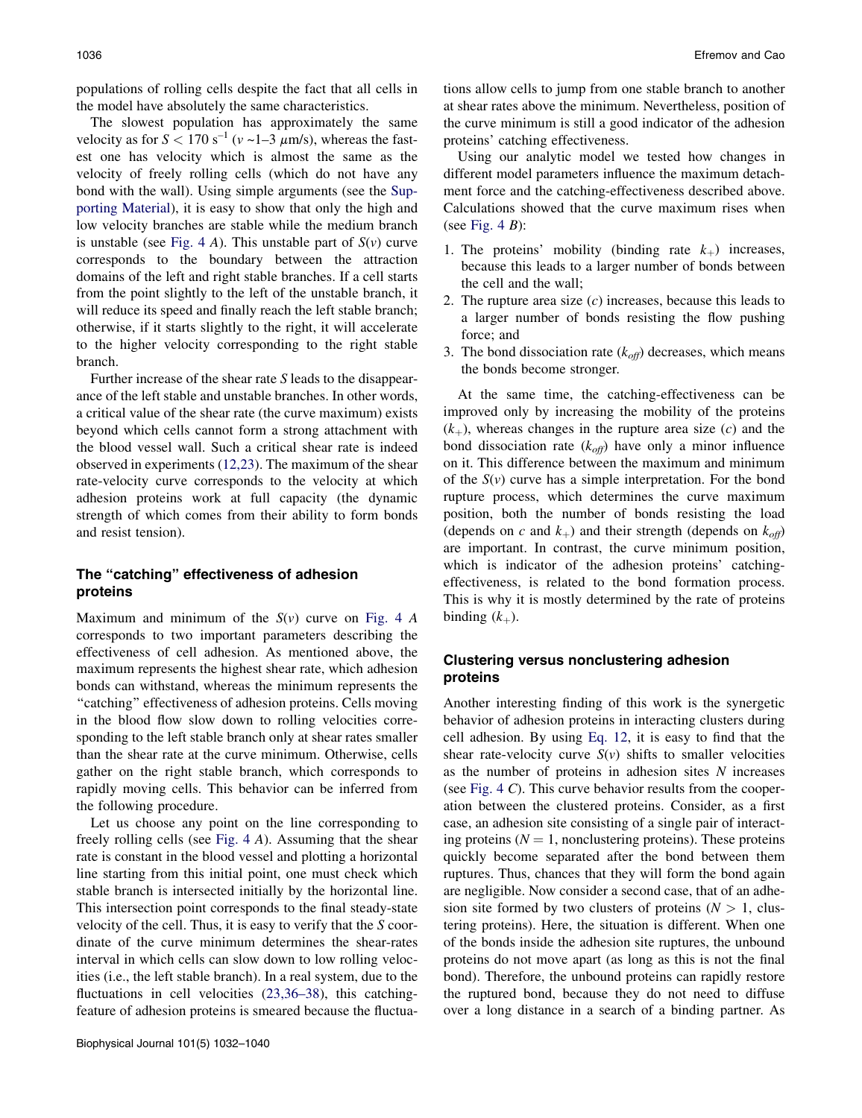populations of rolling cells despite the fact that all cells in the model have absolutely the same characteristics.

The slowest population has approximately the same velocity as for  $S < 170$  s<sup>-1</sup> ( $v \sim 1-3$   $\mu$ m/s), whereas the fastest one has velocity which is almost the same as the velocity of freely rolling cells (which do not have any bond with the wall). Using simple arguments (see the [Sup](#page-7-0)[porting Material](#page-7-0)), it is easy to show that only the high and low velocity branches are stable while the medium branch is unstable (see [Fig. 4](#page-3-0) A). This unstable part of  $S(v)$  curve corresponds to the boundary between the attraction domains of the left and right stable branches. If a cell starts from the point slightly to the left of the unstable branch, it will reduce its speed and finally reach the left stable branch; otherwise, if it starts slightly to the right, it will accelerate to the higher velocity corresponding to the right stable branch.

Further increase of the shear rate S leads to the disappearance of the left stable and unstable branches. In other words, a critical value of the shear rate (the curve maximum) exists beyond which cells cannot form a strong attachment with the blood vessel wall. Such a critical shear rate is indeed observed in experiments ([12,23](#page-8-0)). The maximum of the shear rate-velocity curve corresponds to the velocity at which adhesion proteins work at full capacity (the dynamic strength of which comes from their ability to form bonds and resist tension).

# The ''catching'' effectiveness of adhesion proteins

Maximum and minimum of the  $S(v)$  curve on [Fig. 4](#page-3-0) A corresponds to two important parameters describing the effectiveness of cell adhesion. As mentioned above, the maximum represents the highest shear rate, which adhesion bonds can withstand, whereas the minimum represents the ''catching'' effectiveness of adhesion proteins. Cells moving in the blood flow slow down to rolling velocities corresponding to the left stable branch only at shear rates smaller than the shear rate at the curve minimum. Otherwise, cells gather on the right stable branch, which corresponds to rapidly moving cells. This behavior can be inferred from the following procedure.

Let us choose any point on the line corresponding to freely rolling cells (see [Fig. 4](#page-3-0) A). Assuming that the shear rate is constant in the blood vessel and plotting a horizontal line starting from this initial point, one must check which stable branch is intersected initially by the horizontal line. This intersection point corresponds to the final steady-state velocity of the cell. Thus, it is easy to verify that the S coordinate of the curve minimum determines the shear-rates interval in which cells can slow down to low rolling velocities (i.e., the left stable branch). In a real system, due to the fluctuations in cell velocities [\(23,36–38\)](#page-8-0), this catchingfeature of adhesion proteins is smeared because the fluctuations allow cells to jump from one stable branch to another at shear rates above the minimum. Nevertheless, position of the curve minimum is still a good indicator of the adhesion proteins' catching effectiveness.

Using our analytic model we tested how changes in different model parameters influence the maximum detachment force and the catching-effectiveness described above. Calculations showed that the curve maximum rises when (see [Fig. 4](#page-3-0)  $B$ ):

- 1. The proteins' mobility (binding rate  $k_{+}$ ) increases, because this leads to a larger number of bonds between the cell and the wall;
- 2. The rupture area size  $(c)$  increases, because this leads to a larger number of bonds resisting the flow pushing force; and
- 3. The bond dissociation rate  $(k<sub>off</sub>)$  decreases, which means the bonds become stronger.

At the same time, the catching-effectiveness can be improved only by increasing the mobility of the proteins  $(k<sub>+</sub>)$ , whereas changes in the rupture area size (c) and the bond dissociation rate  $(k_{off})$  have only a minor influence on it. This difference between the maximum and minimum of the  $S(v)$  curve has a simple interpretation. For the bond rupture process, which determines the curve maximum position, both the number of bonds resisting the load (depends on c and  $k_{+}$ ) and their strength (depends on  $k_{off}$ ) are important. In contrast, the curve minimum position, which is indicator of the adhesion proteins' catchingeffectiveness, is related to the bond formation process. This is why it is mostly determined by the rate of proteins binding  $(k_{+})$ .

# Clustering versus nonclustering adhesion proteins

Another interesting finding of this work is the synergetic behavior of adhesion proteins in interacting clusters during cell adhesion. By using [Eq. 12](#page-3-0), it is easy to find that the shear rate-velocity curve  $S(v)$  shifts to smaller velocities as the number of proteins in adhesion sites N increases (see [Fig. 4](#page-3-0) C). This curve behavior results from the cooperation between the clustered proteins. Consider, as a first case, an adhesion site consisting of a single pair of interacting proteins ( $N = 1$ , nonclustering proteins). These proteins quickly become separated after the bond between them ruptures. Thus, chances that they will form the bond again are negligible. Now consider a second case, that of an adhesion site formed by two clusters of proteins  $(N > 1,$  clustering proteins). Here, the situation is different. When one of the bonds inside the adhesion site ruptures, the unbound proteins do not move apart (as long as this is not the final bond). Therefore, the unbound proteins can rapidly restore the ruptured bond, because they do not need to diffuse over a long distance in a search of a binding partner. As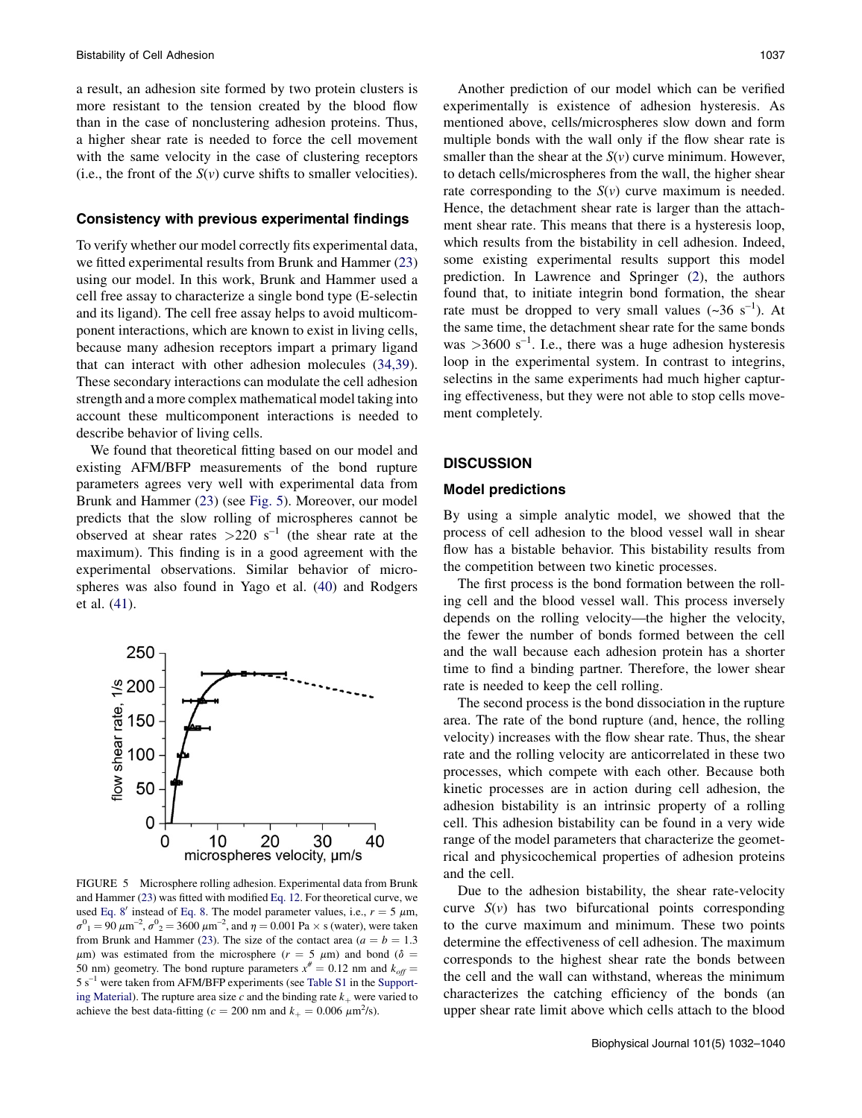a result, an adhesion site formed by two protein clusters is more resistant to the tension created by the blood flow than in the case of nonclustering adhesion proteins. Thus, a higher shear rate is needed to force the cell movement with the same velocity in the case of clustering receptors (i.e., the front of the  $S(v)$  curve shifts to smaller velocities).

#### Consistency with previous experimental findings

To verify whether our model correctly fits experimental data, we fitted experimental results from Brunk and Hammer [\(23](#page-8-0)) using our model. In this work, Brunk and Hammer used a cell free assay to characterize a single bond type (E-selectin and its ligand). The cell free assay helps to avoid multicomponent interactions, which are known to exist in living cells, because many adhesion receptors impart a primary ligand that can interact with other adhesion molecules [\(34,39\)](#page-8-0). These secondary interactions can modulate the cell adhesion strength and a more complex mathematical model taking into account these multicomponent interactions is needed to describe behavior of living cells.

We found that theoretical fitting based on our model and existing AFM/BFP measurements of the bond rupture parameters agrees very well with experimental data from Brunk and Hammer ([23\)](#page-8-0) (see Fig. 5). Moreover, our model predicts that the slow rolling of microspheres cannot be observed at shear rates  $>220$  s<sup>-1</sup> (the shear rate at the maximum). This finding is in a good agreement with the experimental observations. Similar behavior of microspheres was also found in Yago et al. ([40\)](#page-8-0) and Rodgers et al. ([41\)](#page-8-0).



FIGURE 5 Microsphere rolling adhesion. Experimental data from Brunk and Hammer ([23\)](#page-8-0) was fitted with modified [Eq. 12.](#page-3-0) For theoretical curve, we used [Eq. 8](#page-2-0)' instead of [Eq. 8.](#page-2-0) The model parameter values, i.e.,  $r = 5 \mu m$ ,  $\sigma_{1}^{0} = 90 \ \mu m^{-2}, \sigma_{2}^{0} = 3600 \ \mu m^{-2}, \text{and } \eta = 0.001 \text{ Pa} \times \text{s}$  (water), were taken from Brunk and Hammer [\(23](#page-8-0)). The size of the contact area ( $a = b = 1.3$  $\mu$ m) was estimated from the microsphere ( $r = 5 \mu$ m) and bond ( $\delta =$ 50 nm) geometry. The bond rupture parameters  $x^* = 0.12$  nm and  $k_{off} =$  $5 s<sup>-1</sup>$  were taken from AFM/BFP experiments (see [Table S1](#page-7-0) in the [Support](#page-7-0)[ing Material\)](#page-7-0). The rupture area size c and the binding rate  $k_{+}$  were varied to achieve the best data-fitting ( $c = 200$  nm and  $k_+ = 0.006 \ \mu \text{m}^2/\text{s}$ ).

Another prediction of our model which can be verified experimentally is existence of adhesion hysteresis. As mentioned above, cells/microspheres slow down and form multiple bonds with the wall only if the flow shear rate is smaller than the shear at the  $S(v)$  curve minimum. However, to detach cells/microspheres from the wall, the higher shear rate corresponding to the  $S(v)$  curve maximum is needed. Hence, the detachment shear rate is larger than the attachment shear rate. This means that there is a hysteresis loop, which results from the bistability in cell adhesion. Indeed, some existing experimental results support this model prediction. In Lawrence and Springer ([2\)](#page-7-0), the authors found that, to initiate integrin bond formation, the shear rate must be dropped to very small values  $({\sim}36 \text{ s}^{-1})$ . At the same time, the detachment shear rate for the same bonds was  $>3600 \text{ s}^{-1}$ . I.e., there was a huge adhesion hysteresis loop in the experimental system. In contrast to integrins, selectins in the same experiments had much higher capturing effectiveness, but they were not able to stop cells movement completely.

#### **DISCUSSION**

#### Model predictions

By using a simple analytic model, we showed that the process of cell adhesion to the blood vessel wall in shear flow has a bistable behavior. This bistability results from the competition between two kinetic processes.

The first process is the bond formation between the rolling cell and the blood vessel wall. This process inversely depends on the rolling velocity—the higher the velocity, the fewer the number of bonds formed between the cell and the wall because each adhesion protein has a shorter time to find a binding partner. Therefore, the lower shear rate is needed to keep the cell rolling.

The second process is the bond dissociation in the rupture area. The rate of the bond rupture (and, hence, the rolling velocity) increases with the flow shear rate. Thus, the shear rate and the rolling velocity are anticorrelated in these two processes, which compete with each other. Because both kinetic processes are in action during cell adhesion, the adhesion bistability is an intrinsic property of a rolling cell. This adhesion bistability can be found in a very wide range of the model parameters that characterize the geometrical and physicochemical properties of adhesion proteins and the cell.

Due to the adhesion bistability, the shear rate-velocity curve  $S(v)$  has two bifurcational points corresponding to the curve maximum and minimum. These two points determine the effectiveness of cell adhesion. The maximum corresponds to the highest shear rate the bonds between the cell and the wall can withstand, whereas the minimum characterizes the catching efficiency of the bonds (an upper shear rate limit above which cells attach to the blood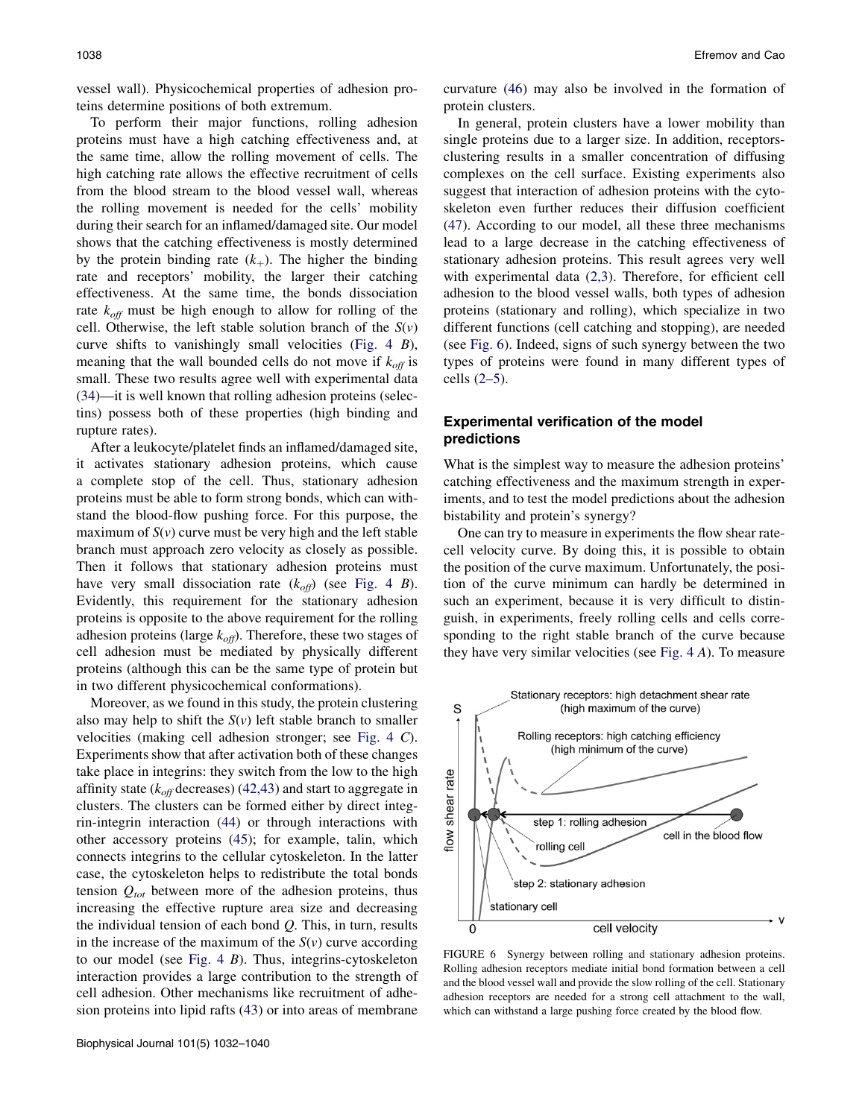<span id="page-6-0"></span>vessel wall). Physicochemical properties of adhesion proteins determine positions of both extremum.

To perform their major functions, rolling adhesion proteins must have a high catching effectiveness and, at the same time, allow the rolling movement of cells. The high catching rate allows the effective recruitment of cells from the blood stream to the blood vessel wall, whereas the rolling movement is needed for the cells' mobility during their search for an inflamed/damaged site. Our model shows that the catching effectiveness is mostly determined by the protein binding rate  $(k_{+})$ . The higher the binding rate and receptors' mobility, the larger their catching effectiveness. At the same time, the bonds dissociation rate  $k_{off}$  must be high enough to allow for rolling of the cell. Otherwise, the left stable solution branch of the  $S(v)$ curve shifts to vanishingly small velocities (Fig.  $4 \ B$ ), meaning that the wall bounded cells do not move if  $k_{off}$  is small. These two results agree well with experimental data ([34\)](#page-8-0)—it is well known that rolling adhesion proteins (selectins) possess both of these properties (high binding and rupture rates).

After a leukocyte/platelet finds an inflamed/damaged site, it activates stationary adhesion proteins, which cause a complete stop of the cell. Thus, stationary adhesion proteins must be able to form strong bonds, which can withstand the blood-flow pushing force. For this purpose, the maximum of  $S(v)$  curve must be very high and the left stable branch must approach zero velocity as closely as possible. Then it follows that stationary adhesion proteins must have very small dissociation rate  $(k<sub>off</sub>)$  (see [Fig. 4](#page-3-0) B). Evidently, this requirement for the stationary adhesion proteins is opposite to the above requirement for the rolling adhesion proteins (large  $k_{off}$ ). Therefore, these two stages of cell adhesion must be mediated by physically different proteins (although this can be the same type of protein but in two different physicochemical conformations).

Moreover, as we found in this study, the protein clustering also may help to shift the  $S(v)$  left stable branch to smaller velocities (making cell adhesion stronger; see [Fig. 4](#page-3-0) C). Experiments show that after activation both of these changes take place in integrins: they switch from the low to the high affinity state ( $k_{off}$  decreases) ([42,43](#page-8-0)) and start to aggregate in clusters. The clusters can be formed either by direct integrin-integrin interaction [\(44](#page-8-0)) or through interactions with other accessory proteins ([45](#page-8-0)); for example, talin, which connects integrins to the cellular cytoskeleton. In the latter case, the cytoskeleton helps to redistribute the total bonds tension  $Q_{tot}$  between more of the adhesion proteins, thus increasing the effective rupture area size and decreasing the individual tension of each bond  $Q$ . This, in turn, results in the increase of the maximum of the  $S(v)$  curve according to our model (see Fig.  $4$  B). Thus, integrins-cytoskeleton interaction provides a large contribution to the strength of cell adhesion. Other mechanisms like recruitment of adhesion proteins into lipid rafts ([43\)](#page-8-0) or into areas of membrane curvature ([46\)](#page-8-0) may also be involved in the formation of protein clusters.

In general, protein clusters have a lower mobility than single proteins due to a larger size. In addition, receptorsclustering results in a smaller concentration of diffusing complexes on the cell surface. Existing experiments also suggest that interaction of adhesion proteins with the cytoskeleton even further reduces their diffusion coefficient ([47\)](#page-8-0). According to our model, all these three mechanisms lead to a large decrease in the catching effectiveness of stationary adhesion proteins. This result agrees very well with experimental data [\(2,3\)](#page-7-0). Therefore, for efficient cell adhesion to the blood vessel walls, both types of adhesion proteins (stationary and rolling), which specialize in two different functions (cell catching and stopping), are needed (see Fig. 6). Indeed, signs of such synergy between the two types of proteins were found in many different types of cells [\(2–5](#page-7-0)).

## Experimental verification of the model predictions

What is the simplest way to measure the adhesion proteins' catching effectiveness and the maximum strength in experiments, and to test the model predictions about the adhesion bistability and protein's synergy?

One can try to measure in experiments the flow shear ratecell velocity curve. By doing this, it is possible to obtain the position of the curve maximum. Unfortunately, the position of the curve minimum can hardly be determined in such an experiment, because it is very difficult to distinguish, in experiments, freely rolling cells and cells corresponding to the right stable branch of the curve because they have very similar velocities (see [Fig. 4](#page-3-0) A). To measure



FIGURE 6 Synergy between rolling and stationary adhesion proteins. Rolling adhesion receptors mediate initial bond formation between a cell and the blood vessel wall and provide the slow rolling of the cell. Stationary adhesion receptors are needed for a strong cell attachment to the wall, which can withstand a large pushing force created by the blood flow.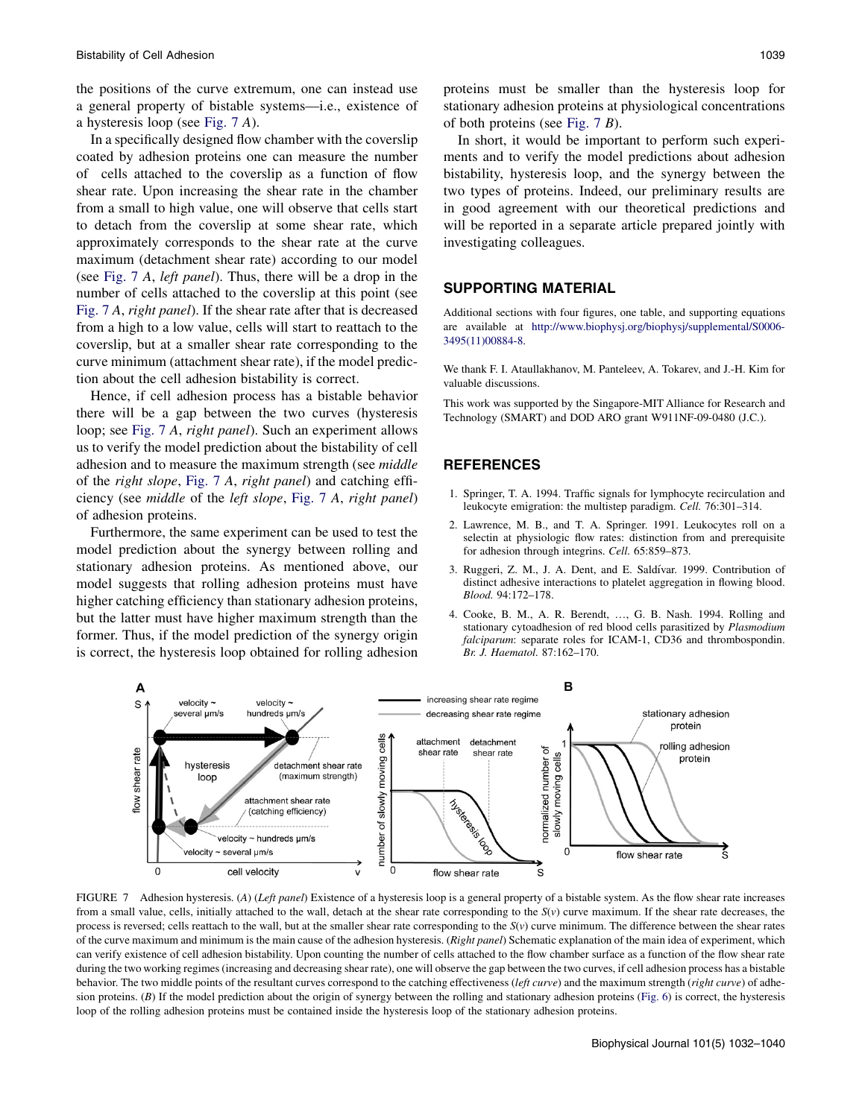<span id="page-7-0"></span>the positions of the curve extremum, one can instead use a general property of bistable systems—i.e., existence of a hysteresis loop (see Fig. 7 A).

In a specifically designed flow chamber with the coverslip coated by adhesion proteins one can measure the number of cells attached to the coverslip as a function of flow shear rate. Upon increasing the shear rate in the chamber from a small to high value, one will observe that cells start to detach from the coverslip at some shear rate, which approximately corresponds to the shear rate at the curve maximum (detachment shear rate) according to our model (see Fig. 7 A, left panel). Thus, there will be a drop in the number of cells attached to the coverslip at this point (see Fig. 7 A, right panel). If the shear rate after that is decreased from a high to a low value, cells will start to reattach to the coverslip, but at a smaller shear rate corresponding to the curve minimum (attachment shear rate), if the model prediction about the cell adhesion bistability is correct.

Hence, if cell adhesion process has a bistable behavior there will be a gap between the two curves (hysteresis loop; see Fig. 7 A, right panel). Such an experiment allows us to verify the model prediction about the bistability of cell adhesion and to measure the maximum strength (see middle of the right slope, Fig. 7 A, right panel) and catching efficiency (see middle of the left slope, Fig. 7 A, right panel) of adhesion proteins.

Furthermore, the same experiment can be used to test the model prediction about the synergy between rolling and stationary adhesion proteins. As mentioned above, our model suggests that rolling adhesion proteins must have higher catching efficiency than stationary adhesion proteins, but the latter must have higher maximum strength than the former. Thus, if the model prediction of the synergy origin is correct, the hysteresis loop obtained for rolling adhesion proteins must be smaller than the hysteresis loop for stationary adhesion proteins at physiological concentrations of both proteins (see Fig. 7 B).

In short, it would be important to perform such experiments and to verify the model predictions about adhesion bistability, hysteresis loop, and the synergy between the two types of proteins. Indeed, our preliminary results are in good agreement with our theoretical predictions and will be reported in a separate article prepared jointly with investigating colleagues.

# SUPPORTING MATERIAL

Additional sections with four figures, one table, and supporting equations are available at [http://www.biophysj.org/biophysj/supplemental/S0006-](http://www.biophysj.org/biophysj/supplemental/S0006-3495(11)00884-8) [3495\(11\)00884-8](http://www.biophysj.org/biophysj/supplemental/S0006-3495(11)00884-8).

We thank F. I. Ataullakhanov, M. Panteleev, A. Tokarev, and J.-H. Kim for valuable discussions.

This work was supported by the Singapore-MIT Alliance for Research and Technology (SMART) and DOD ARO grant W911NF-09-0480 (J.C.).

### REFERENCES

- 1. Springer, T. A. 1994. Traffic signals for lymphocyte recirculation and leukocyte emigration: the multistep paradigm. Cell. 76:301–314.
- 2. Lawrence, M. B., and T. A. Springer. 1991. Leukocytes roll on a selectin at physiologic flow rates: distinction from and prerequisite for adhesion through integrins. Cell. 65:859–873.
- 3. Ruggeri, Z. M., J. A. Dent, and E. Saldívar. 1999. Contribution of distinct adhesive interactions to platelet aggregation in flowing blood. Blood. 94:172–178.
- 4. Cooke, B. M., A. R. Berendt, ., G. B. Nash. 1994. Rolling and stationary cytoadhesion of red blood cells parasitized by Plasmodium falciparum: separate roles for ICAM-1, CD36 and thrombospondin. Br. J. Haematol. 87:162–170.



FIGURE 7 Adhesion hysteresis. (A) (Left panel) Existence of a hysteresis loop is a general property of a bistable system. As the flow shear rate increases from a small value, cells, initially attached to the wall, detach at the shear rate corresponding to the  $S(v)$  curve maximum. If the shear rate decreases, the process is reversed; cells reattach to the wall, but at the smaller shear rate corresponding to the  $S(v)$  curve minimum. The difference between the shear rates of the curve maximum and minimum is the main cause of the adhesion hysteresis. (Right panel) Schematic explanation of the main idea of experiment, which can verify existence of cell adhesion bistability. Upon counting the number of cells attached to the flow chamber surface as a function of the flow shear rate during the two working regimes (increasing and decreasing shear rate), one will observe the gap between the two curves, if cell adhesion process has a bistable behavior. The two middle points of the resultant curves correspond to the catching effectiveness (left curve) and the maximum strength (right curve) of adhe-sion proteins. (B) If the model prediction about the origin of synergy between the rolling and stationary adhesion proteins ([Fig. 6\)](#page-6-0) is correct, the hysteresis loop of the rolling adhesion proteins must be contained inside the hysteresis loop of the stationary adhesion proteins.